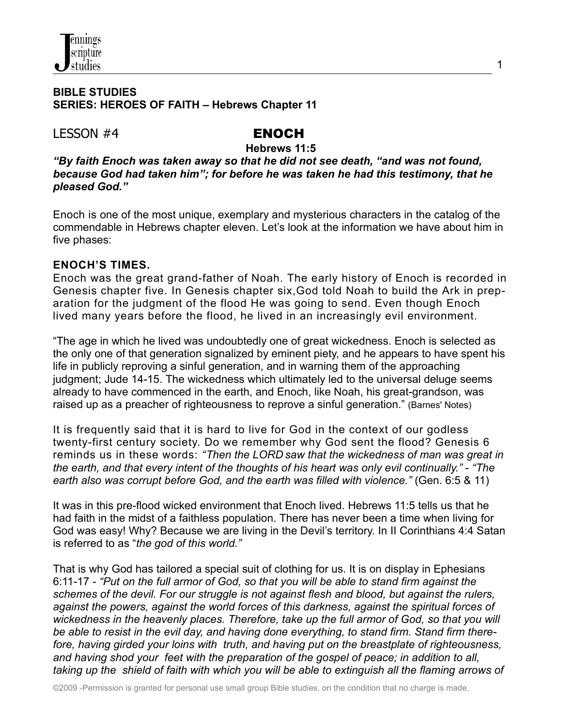#### **BIBLE STUDIES SERIES: HEROES OF FAITH – Hebrews Chapter 11**

LESSON #4 ENOCH

**Hebrews 11:5**

*"By faith Enoch was taken away so that he did not see death, "and was not found, because God had taken him"; for before he was taken he had this testimony, that he pleased God."*

Enoch is one of the most unique, exemplary and mysterious characters in the catalog of the commendable in Hebrews chapter eleven. Let's look at the information we have about him in five phases:

## **ENOCH'S TIMES.**

Enoch was the great grand-father of Noah. The early history of Enoch is recorded in Genesis chapter five. In Genesis chapter six,God told Noah to build the Ark in preparation for the judgment of the flood He was going to send. Even though Enoch lived many years before the flood, he lived in an increasingly evil environment.

"The age in which he lived was undoubtedly one of great wickedness. Enoch is selected as the only one of that generation signalized by eminent piety, and he appears to have spent his life in publicly reproving a sinful generation, and in warning them of the approaching judgment; Jude 14-15. The wickedness which ultimately led to the universal deluge seems already to have commenced in the earth, and Enoch, like Noah, his great-grandson, was raised up as a preacher of righteousness to reprove a sinful generation." (Barnes' Notes)

It is frequently said that it is hard to live for God in the context of our godless twenty-first century society. Do we remember why God sent the flood? Genesis 6 reminds us in these words: *"Then the LORD saw that the wickedness of man was great in the earth, and that every intent of the thoughts of his heart was only evil continually."* - *"The earth also was corrupt before God, and the earth was filled with violence."* (Gen. 6:5 & 11)

It was in this pre-flood wicked environment that Enoch lived. Hebrews 11:5 tells us that he had faith in the midst of a faithless population. There has never been a time when living for God was easy! Why? Because we are living in the Devil's territory. In II Corinthians 4:4 Satan is referred to as "*the god of this world."*

That is why God has tailored a special suit of clothing for us. It is on display in Ephesians 6:11-17 - *"Put on the full armor of God, so that you will be able to stand firm against the schemes of the devil. For our struggle is not against flesh and blood, but against the rulers, against the powers, against the world forces of this darkness, against the spiritual forces of wickedness in the heavenly places. Therefore, take up the full armor of God, so that you will be able to resist in the evil day, and having done everything, to stand firm. Stand firm therefore, having girded your loins with truth, and having put on the breastplate of righteousness, and having shod your feet with the preparation of the gospel of peace; in addition to all,* taking up the shield of faith with which you will be able to extinguish all the flaming arrows of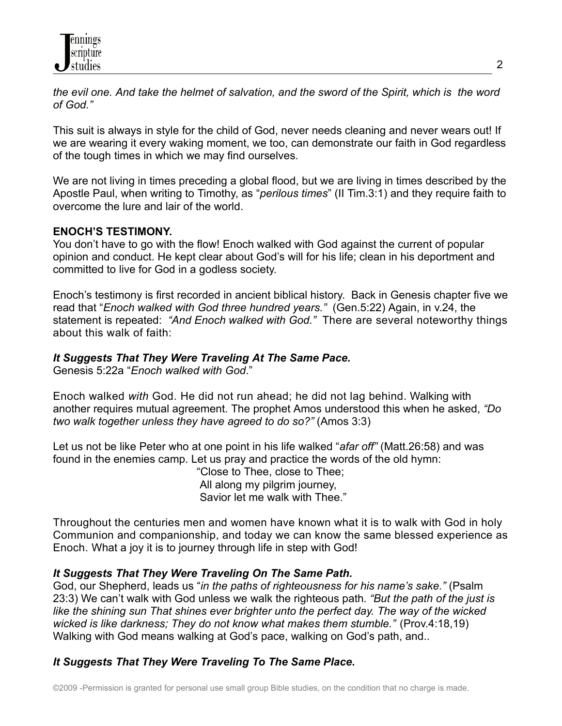the evil one. And take the helmet of salvation, and the sword of the Spirit, which is the word *of God."*

This suit is always in style for the child of God, never needs cleaning and never wears out! If we are wearing it every waking moment, we too, can demonstrate our faith in God regardless of the tough times in which we may find ourselves.

We are not living in times preceding a global flood, but we are living in times described by the Apostle Paul, when writing to Timothy, as "*perilous times*" (II Tim.3:1) and they require faith to overcome the lure and lair of the world.

# **ENOCH'S TESTIMONY.**

You don't have to go with the flow! Enoch walked with God against the current of popular opinion and conduct. He kept clear about God's will for his life; clean in his deportment and committed to live for God in a godless society.

Enoch's testimony is first recorded in ancient biblical history. Back in Genesis chapter five we read that "*Enoch walked with God three hundred years."* (Gen.5:22) Again, in v.24, the statement is repeated: *"And Enoch walked with God."* There are several noteworthy things about this walk of faith:

# *It Suggests That They Were Traveling At The Same Pace.*

Genesis 5:22a "*Enoch walked with God*."

Enoch walked *with* God. He did not run ahead; he did not lag behind. Walking with another requires mutual agreement. The prophet Amos understood this when he asked, *"Do two walk together unless they have agreed to do so?"* (Amos 3:3)

Let us not be like Peter who at one point in his life walked "*afar off"* (Matt.26:58) and was found in the enemies camp. Let us pray and practice the words of the old hymn:

"Close to Thee, close to Thee; All along my pilgrim journey, Savior let me walk with Thee."

Throughout the centuries men and women have known what it is to walk with God in holy Communion and companionship, and today we can know the same blessed experience as Enoch. What a joy it is to journey through life in step with God!

# *It Suggests That They Were Traveling On The Same Path.*

God, our Shepherd, leads us "*in the paths of righteousness for his name's sake."* (Psalm 23:3) We can't walk with God unless we walk the righteous path*. "But the path of the just is like the shining sun That shines ever brighter unto the perfect day. The way of the wicked wicked is like darkness; They do not know what makes them stumble."* (Prov.4:18,19) Walking with God means walking at God's pace, walking on God's path, and..

# *It Suggests That They Were Traveling To The Same Place.*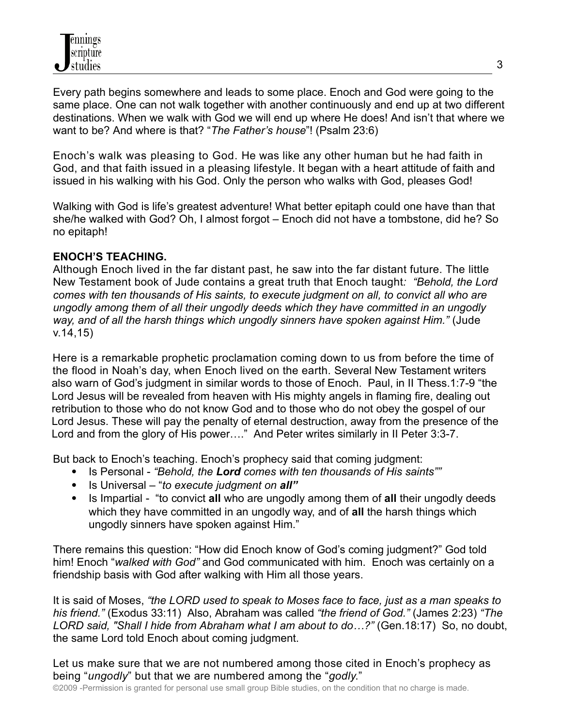Every path begins somewhere and leads to some place. Enoch and God were going to the same place. One can not walk together with another continuously and end up at two different destinations. When we walk with God we will end up where He does! And isn't that where we want to be? And where is that? "*The Father's house*"! (Psalm 23:6)

Enoch's walk was pleasing to God. He was like any other human but he had faith in God, and that faith issued in a pleasing lifestyle. It began with a heart attitude of faith and issued in his walking with his God. Only the person who walks with God, pleases God!

Walking with God is life's greatest adventure! What better epitaph could one have than that she/he walked with God? Oh, I almost forgot – Enoch did not have a tombstone, did he? So no epitaph!

# **ENOCH'S TEACHING.**

Although Enoch lived in the far distant past, he saw into the far distant future. The little New Testament book of Jude contains a great truth that Enoch taught*: "Behold, the Lord comes with ten thousands of His saints, to execute judgment on all, to convict all who are ungodly among them of all their ungodly deeds which they have committed in an ungodly way, and of all the harsh things which ungodly sinners have spoken against Him."* (Jude v.14,15)

Here is a remarkable prophetic proclamation coming down to us from before the time of the flood in Noah's day, when Enoch lived on the earth. Several New Testament writers also warn of God's judgment in similar words to those of Enoch. Paul, in II Thess.1:7-9 "the Lord Jesus will be revealed from heaven with His mighty angels in flaming fire, dealing out retribution to those who do not know God and to those who do not obey the gospel of our Lord Jesus. These will pay the penalty of eternal destruction, away from the presence of the Lord and from the glory of His power…." And Peter writes similarly in II Peter 3:3-7.

But back to Enoch's teaching. Enoch's prophecy said that coming judgment:

- Is Personal *"Behold, the Lord comes with ten thousands of His saints""*
- Is Universal "*to execute judgment on all"*
- Is Impartial "to convict all who are ungodly among them of all their ungodly deeds which they have committed in an ungodly way, and of **all** the harsh things which ungodly sinners have spoken against Him."

There remains this question: "How did Enoch know of God's coming judgment?" God told him! Enoch "*walked with God"* and God communicated with him. Enoch was certainly on a friendship basis with God after walking with Him all those years.

It is said of Moses, *"the LORD used to speak to Moses face to face, just as a man speaks to his friend."* (Exodus 33:11) Also, Abraham was called *"the friend of God."* (James 2:23) *"The LORD said, "Shall I hide from Abraham what I am about to do…?"* (Gen.18:17) So, no doubt, the same Lord told Enoch about coming judgment.

Let us make sure that we are not numbered among those cited in Enoch's prophecy as being "*ungodly*" but that we are numbered among the "*godly*."

©2009 -Permission is granted for personal use small group Bible studies, on the condition that no charge is made.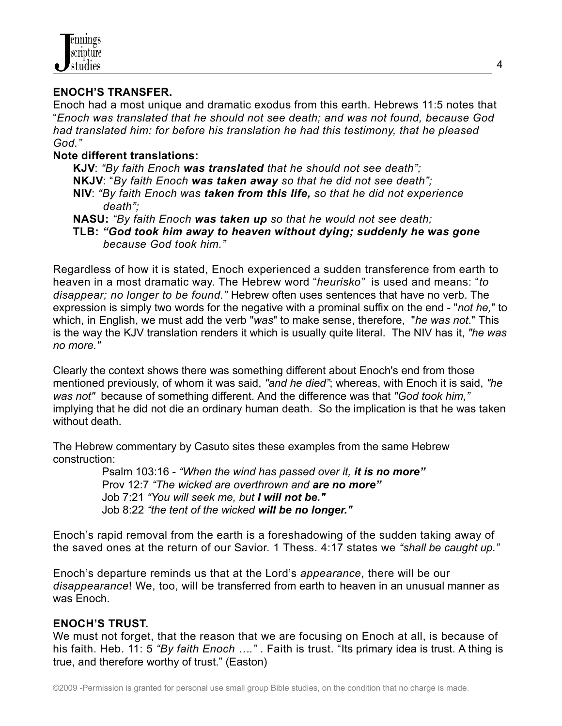### **ENOCH'S TRANSFER.**

Enoch had a most unique and dramatic exodus from this earth. Hebrews 11:5 notes that "*Enoch was translated that he should not see death; and was not found, because God had translated him: for before his translation he had this testimony, that he pleased God."*

#### **Note different translations:**

**KJV**: *"By faith Enoch was translated that he should not see death";* **NKJV**: "*By faith Enoch was taken away so that he did not see death";* **NIV**: *"By faith Enoch was taken from this life, so that he did not experience death";*

**NASU:** *"By faith Enoch was taken up so that he would not see death;*

**TLB:** *"God took him away to heaven without dying; suddenly he was gone because God took him."*

Regardless of how it is stated, Enoch experienced a sudden transference from earth to heaven in a most dramatic way. The Hebrew word "*heurisko"* is used and means: "*to disappear; no longer to be found."* Hebrew often uses sentences that have no verb. The expression is simply two words for the negative with a prominal suffix on the end - "*not he,*" to which, in English, we must add the verb "*was*" to make sense, therefore, "*he was not*." This is the way the KJV translation renders it which is usually quite literal. The NIV has it, *"he was no more."*

Clearly the context shows there was something different about Enoch's end from those mentioned previously, of whom it was said, *"and he died"*; whereas, with Enoch it is said, *"he was not"* because of something different. And the difference was that *"God took him,"* implying that he did not die an ordinary human death. So the implication is that he was taken without death

The Hebrew commentary by Casuto sites these examples from the same Hebrew construction:

Psalm 103:16 - *"When the wind has passed over it, it is no more"* Prov 12:7 *"The wicked are overthrown and are no more"* Job 7:21 *"You will seek me, but I will not be."* Job 8:22 *"the tent of the wicked will be no longer."*

Enoch's rapid removal from the earth is a foreshadowing of the sudden taking away of the saved ones at the return of our Savior. 1 Thess. 4:17 states we *"shall be caught up."*

Enoch's departure reminds us that at the Lord's *appearance*, there will be our *disappearance*! We, too, will be transferred from earth to heaven in an unusual manner as was Enoch.

## **ENOCH'S TRUST.**

We must not forget, that the reason that we are focusing on Enoch at all, is because of his faith. Heb. 11: 5 *"By faith Enoch …."* . Faith is trust. "Its primary idea is trust. A thing is true, and therefore worthy of trust." (Easton)